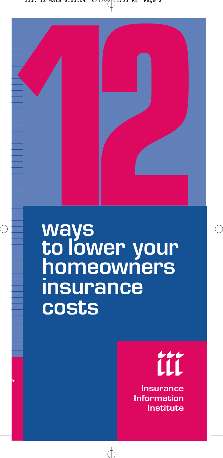

# **ways to lower your homeowners insurance costs**

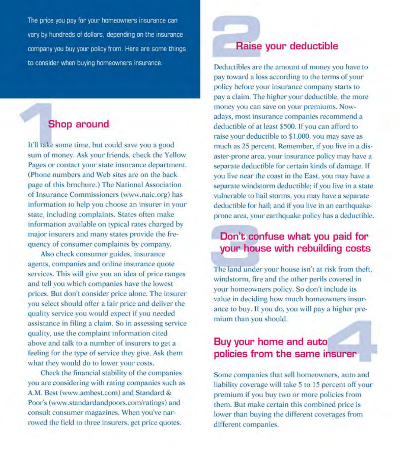The price you pay for your homeowners insurance can vary by hundreds of dollars, depending on the insurance company you buy your policy from. Here are some things to consider when buying homeowners insurance.

## **Shop around**

It'll take some time, but could save you a good sum of money. Ask your friends, check the Yellow Pages or contact your state insurance department. (Phone numbers and Web sites are on the back) page of this brochure.) The National Association of Insurance Commissioners (www.naic.org) has information to help you choose an insurer in your state, including complaints. States often make information available on typical rates charged by major insurers and many states provide the frequency of consumer complaints by company.

Also check consumer guides, insurance agents, companies and online insurance quote services. This will give you an idea of price ranges and tell you which companies have the lowest prices. But don't consider price alone. The insurer you select should offer a fair price and deliver the quality service you would expect if you needed assistance in filing a claim. So in assessing service quality, use the complaint information cited above and talk to a number of insurers to get a feeling for the type of service they give. Ask them what they would do to lower your costs.

Check the financial stability of the companies you are considering with rating companies such as A.M. Best (www.ambest.com) and Standard & Poor's (www.standardandpoors.com/ratings) and consult consumer magazines. When you've narrowed the field to three insurers, get price quotes.

#### Raise your deductible

Deductibles are the amount of money you have to pay toward a loss according to the terms of your policy before your insurance company starts to pay a claim. The higher your deductible, the more money you can save on your premiums. Nowadays, most insurance companies recommend a deductible of at least \$500. If you can afford to raise your deductible to \$1,000, you may save as much as 25 percent. Remember, if you live in a disaster-prone area, your insurance policy may have a separate deductible for certain kinds of damage. If you live near the coast in the East, you may have a separate windstorm deductible; if you live in a state vulnerable to hail storms, you may have a separate deductible for hail; and if you live in an earthquakeprone area, your earthquake policy has a deductible.

### Don't confuse what you paid for your house with rebuilding costs

The land under your house isn't at risk from theft, windstorm, fire and the other perils covered in your homeowners policy. So don't include its value in deciding how much homeowners insurance to buy. If you do, you will pay a higher premium than you should.

#### Buy your home and auto policies from the same insurer

Some companies that sell homeowners, auto and liability coverage will take 5 to 15 percent off your premium if you buy two or more policies from them. But make certain this combined price is lower than buying the different coverages from different companies.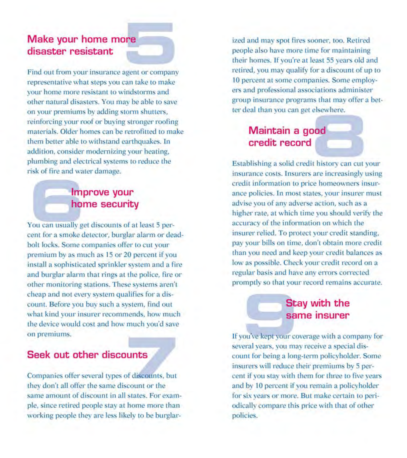#### Make your home more disaster resistant

Find out from your insurance agent or company representative what steps you can take to make your home more resistant to windstorms and other natural disasters. You may be able to save on your premiums by adding storm shutters, reinforcing your roof or buying stronger roofing materials. Older homes can be retrofitted to make them better able to withstand earthquakes. In addition, consider modernizing your heating, plumbing and electrical systems to reduce the risk of fire and water damage.

#### Improve your home security

You can usually get discounts of at least 5 percent for a smoke detector, burglar alarm or deadbolt locks. Some companies offer to cut your premium by as much as 15 or 20 percent if you install a sophisticated sprinkler system and a fire and burglar alarm that rings at the police, fire or other monitoring stations. These systems aren't cheap and not every system qualifies for a discount. Before you buy such a system, find out what kind your insurer recommends, how much the device would cost and how much you'd save on premiums.

#### Seek out other discounts

Companies offer several types of discounts, but they don't all offer the same discount or the same amount of discount in all states. For example, since retired people stay at home more than working people they are less likely to be burglarized and may spot fires sooner, too. Retired people also have more time for maintaining their homes. If you're at least 55 years old and retired, you may qualify for a discount of up to 10 percent at some companies. Some employers and professional associations administer group insurance programs that may offer a better deal than you can get elsewhere.

# Maintain a good credit record

Establishing a solid credit history can cut your insurance costs. Insurers are increasingly using credit information to price homeowners insurance policies. In most states, your insurer must advise you of any adverse action, such as a higher rate, at which time you should verify the accuracy of the information on which the insurer relied. To protect your credit standing, pay your bills on time, don't obtain more credit than you need and keep your credit balances as low as possible. Check your credit record on a regular basis and have any errors corrected promptly so that your record remains accurate.

#### **Stay with the** same insurer

If you've kept your coverage with a company for several years, you may receive a special discount for being a long-term policyholder. Some insurers will reduce their premiums by 5 percent if you stay with them for three to five years and by 10 percent if you remain a policyholder for six years or more. But make certain to periodically compare this price with that of other policies.